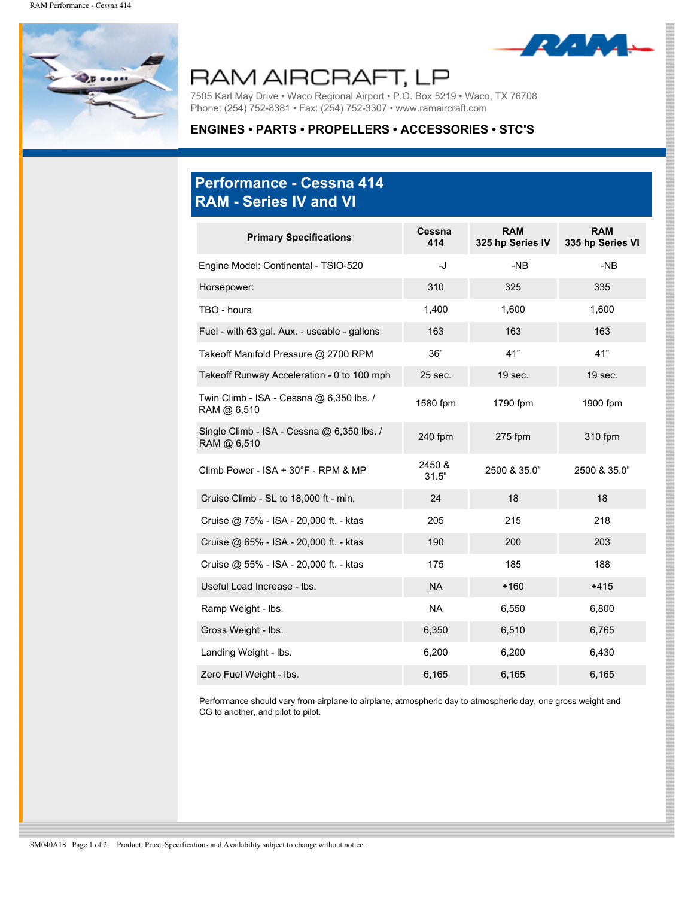

## RAM AIRCRAFT, LP

7505 Karl May Drive • Waco Regional Airport • P.O. Box 5219 • Waco, TX 76708 Phone: (254) 752-8381 • Fax: (254) 752-3307 • www.ramaircraft.com

## **ENGINES • PARTS • PROPELLERS • ACCESSORIES • STC'S**

## **Performance - Cessna 414 RAM - Series IV and VI**

| <b>Primary Specifications</b>                             | Cessna<br>414   | <b>RAM</b><br>325 hp Series IV | <b>RAM</b><br>335 hp Series VI |
|-----------------------------------------------------------|-----------------|--------------------------------|--------------------------------|
| Engine Model: Continental - TSIO-520                      | -J              | $-NB$                          | $-NB$                          |
| Horsepower:                                               | 310             | 325                            | 335                            |
| TBO - hours                                               | 1,400           | 1,600                          | 1,600                          |
| Fuel - with 63 gal. Aux. - useable - gallons              | 163             | 163                            | 163                            |
| Takeoff Manifold Pressure @ 2700 RPM                      | 36"             | 41"                            | 41"                            |
| Takeoff Runway Acceleration - 0 to 100 mph                | 25 sec.         | 19 sec.                        | 19 sec.                        |
| Twin Climb - ISA - Cessna @ 6,350 lbs. /<br>RAM @ 6,510   | 1580 fpm        | 1790 fpm                       | 1900 fpm                       |
| Single Climb - ISA - Cessna @ 6,350 lbs. /<br>RAM @ 6.510 | 240 fpm         | $275$ fpm                      | 310 fpm                        |
| Climb Power - ISA + $30^{\circ}$ F - RPM & MP             | 2450 &<br>31.5" | 2500 & 35.0"                   | 2500 & 35.0"                   |
| Cruise Climb - SL to 18,000 ft - min.                     | 24              | 18                             | 18                             |
| Cruise @ 75% - ISA - 20,000 ft. - ktas                    | 205             | 215                            | 218                            |
| Cruise @ 65% - ISA - 20,000 ft. - ktas                    | 190             | 200                            | 203                            |
| Cruise @ 55% - ISA - 20,000 ft. - ktas                    | 175             | 185                            | 188                            |
| Useful Load Increase - Ibs.                               | <b>NA</b>       | $+160$                         | $+415$                         |
| Ramp Weight - Ibs.                                        | <b>NA</b>       | 6,550                          | 6,800                          |
| Gross Weight - Ibs.                                       | 6,350           | 6,510                          | 6,765                          |
| Landing Weight - Ibs.                                     | 6,200           | 6,200                          | 6,430                          |
| Zero Fuel Weight - Ibs.                                   | 6,165           | 6,165                          | 6,165                          |

Performance should vary from airplane to airplane, atmospheric day to atmospheric day, one gross weight and CG to another, and pilot to pilot.